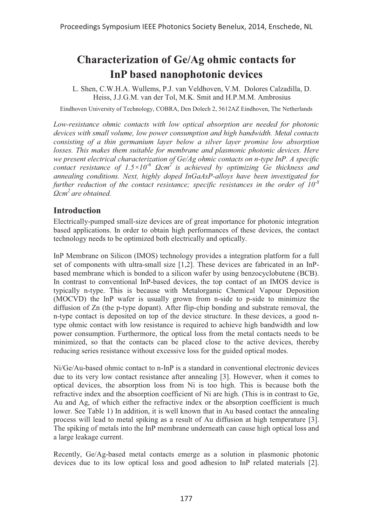# **Characterization of Ge/Ag ohmic contacts for InP based nanophotonic devices**

L. Shen, C.W.H.A. Wullems, P.J. van Veldhoven, V.M. Dolores Calzadilla, D. Heiss, J.J.G.M. van der Tol, M.K. Smit and H.P.M.M. Ambrosius

Eindhoven University of Technology, COBRA, Den Dolech 2, 5612AZ Eindhoven, The Netherlands

*Low-resistance ohmic contacts with low optical absorption are needed for photonic devices with small volume, low power consumption and high bandwidth. Metal contacts consisting of a thin germanium layer below a silver layer promise low absorption*  losses. This makes them suitable for membrane and plasmonic photonic devices. Here *we present electrical characterization of Ge/Ag ohmic contacts on n-type InP. A specific contact resistance of 1.5×10-6 Ωcm2 is achieved by optimizing Ge thickness and annealing conditions. Next, highly doped InGaAsP-alloys have been investigated for further reduction of the contact resistance; specific resistances in the order of 10-8 Ωcm2 are obtained.* 

## **Introduction**

Electrically-pumped small-size devices are of great importance for photonic integration based applications. In order to obtain high performances of these devices, the contact technology needs to be optimized both electrically and optically.

InP Membrane on Silicon (IMOS) technology provides a integration platform for a full set of components with ultra-small size [1,2]. These devices are fabricated in an InPbased membrane which is bonded to a silicon wafer by using benzocyclobutene (BCB). In contrast to conventional InP-based devices, the top contact of an IMOS device is typically n-type. This is because with Metalorganic Chemical Vapour Deposition (MOCVD) the InP wafer is usually grown from n-side to p-side to minimize the diffusion of Zn (the p-type dopant). After flip-chip bonding and substrate removal, the n-type contact is deposited on top of the device structure. In these devices, a good ntype ohmic contact with low resistance is required to achieve high bandwidth and low power consumption. Furthermore, the optical loss from the metal contacts needs to be minimized, so that the contacts can be placed close to the active devices, thereby reducing series resistance without excessive loss for the guided optical modes.

Ni/Ge/Au-based ohmic contact to n-InP is a standard in conventional electronic devices due to its very low contact resistance after annealing [3]. However, when it comes to optical devices, the absorption loss from Ni is too high. This is because both the refractive index and the absorption coefficient of Ni are high. (This is in contrast to Ge, Au and Ag, of which either the refractive index or the absorption coefficient is much lower. See Table 1) In addition, it is well known that in Au based contact the annealing process will lead to metal spiking as a result of Au diffusion at high temperature [3]. The spiking of metals into the InP membrane underneath can cause high optical loss and a large leakage current.

Recently, Ge/Ag-based metal contacts emerge as a solution in plasmonic photonic devices due to its low optical loss and good adhesion to InP related materials [2].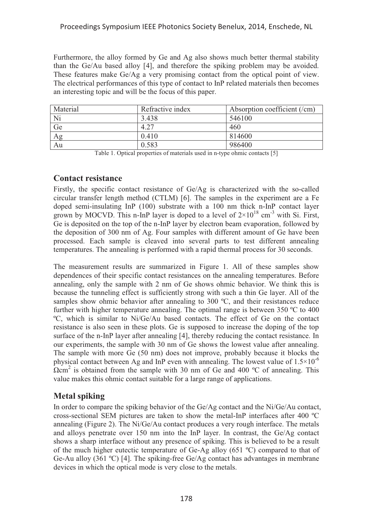Furthermore, the alloy formed by Ge and Ag also shows much better thermal stability than the Ge/Au based alloy [4], and therefore the spiking problem may be avoided. These features make Ge/Ag a very promising contact from the optical point of view. The electrical performances of this type of contact to InP related materials then becomes an interesting topic and will be the focus of this paper.

| Material | Refractive index | Absorption coefficient $('cm)$ |
|----------|------------------|--------------------------------|
| Ni       | 3.438            | 546100                         |
| Ge       | 4.27             | 460                            |
| Ag       | 0.410            | 814600                         |
| Au       | 0.583            | 986400                         |

Table 1. Optical properties of materials used in n-type ohmic contacts [5]

### **Contact resistance**

Firstly, the specific contact resistance of Ge/Ag is characterized with the so-called circular transfer length method (CTLM) [6]. The samples in the experiment are a Fe doped semi-insulating InP (100) substrate with a 100 nm thick n-InP contact layer grown by MOCVD. This n-InP layer is doped to a level of  $2\times10^{18}$  cm<sup>-3</sup> with Si. First, Ge is deposited on the top of the n-InP layer by electron beam evaporation, followed by the deposition of 300 nm of Ag. Four samples with different amount of Ge have been processed. Each sample is cleaved into several parts to test different annealing temperatures. The annealing is performed with a rapid thermal process for 30 seconds.

The measurement results are summarized in Figure 1. All of these samples show dependences of their specific contact resistances on the annealing temperatures. Before annealing, only the sample with 2 nm of Ge shows ohmic behavior. We think this is because the tunneling effect is sufficiently strong with such a thin Ge layer. All of the samples show ohmic behavior after annealing to 300 °C, and their resistances reduce further with higher temperature annealing. The optimal range is between 350 ºC to 400 ºC, which is similar to Ni/Ge/Au based contacts. The effect of Ge on the contact resistance is also seen in these plots. Ge is supposed to increase the doping of the top surface of the n-InP layer after annealing [4], thereby reducing the contact resistance. In our experiments, the sample with 30 nm of Ge shows the lowest value after annealing. The sample with more Ge (50 nm) does not improve, probably because it blocks the physical contact between Ag and InP even with annealing. The lowest value of  $1.5 \times 10^{-6}$  $\Omega$ cm<sup>2</sup> is obtained from the sample with 30 nm of Ge and 400 °C of annealing. This value makes this ohmic contact suitable for a large range of applications.

# **Metal spiking**

In order to compare the spiking behavior of the Ge/Ag contact and the Ni/Ge/Au contact, cross-sectional SEM pictures are taken to show the metal-InP interfaces after 400 ºC annealing (Figure 2). The Ni/Ge/Au contact produces a very rough interface. The metals and alloys penetrate over 150 nm into the InP layer. In contrast, the Ge/Ag contact shows a sharp interface without any presence of spiking. This is believed to be a result of the much higher eutectic temperature of Ge-Ag alloy (651 ºC) compared to that of Ge-Au alloy (361 °C) [4]. The spiking-free Ge/Ag contact has advantages in membrane devices in which the optical mode is very close to the metals.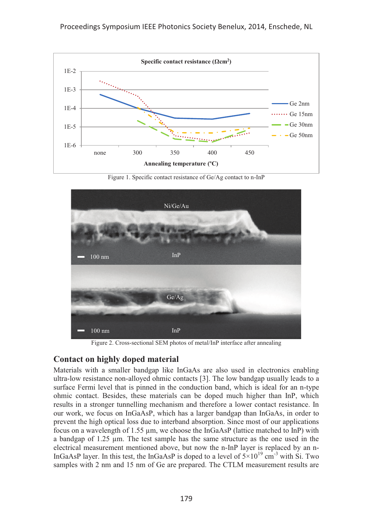

Figure 1. Specific contact resistance of Ge/Ag contact to n-InP



Figure 2. Cross-sectional SEM photos of metal/InP interface after annealing

### **Contact on highly doped material**

Materials with a smaller bandgap like InGaAs are also used in electronics enabling ultra-low resistance non-alloyed ohmic contacts [3]. The low bandgap usually leads to a surface Fermi level that is pinned in the conduction band, which is ideal for an n-type ohmic contact. Besides, these materials can be doped much higher than InP, which results in a stronger tunnelling mechanism and therefore a lower contact resistance. In our work, we focus on InGaAsP, which has a larger bandgap than InGaAs, in order to prevent the high optical loss due to interband absorption. Since most of our applications focus on a wavelength of 1.55 μm, we choose the InGaAsP (lattice matched to InP) with a bandgap of 1.25 μm. The test sample has the same structure as the one used in the electrical measurement mentioned above, but now the n-InP layer is replaced by an n-InGaAsP layer. In this test, the InGaAsP is doped to a level of  $5\times10^{19}$  cm<sup>-3</sup> with Si. Two samples with 2 nm and 15 nm of Ge are prepared. The CTLM measurement results are